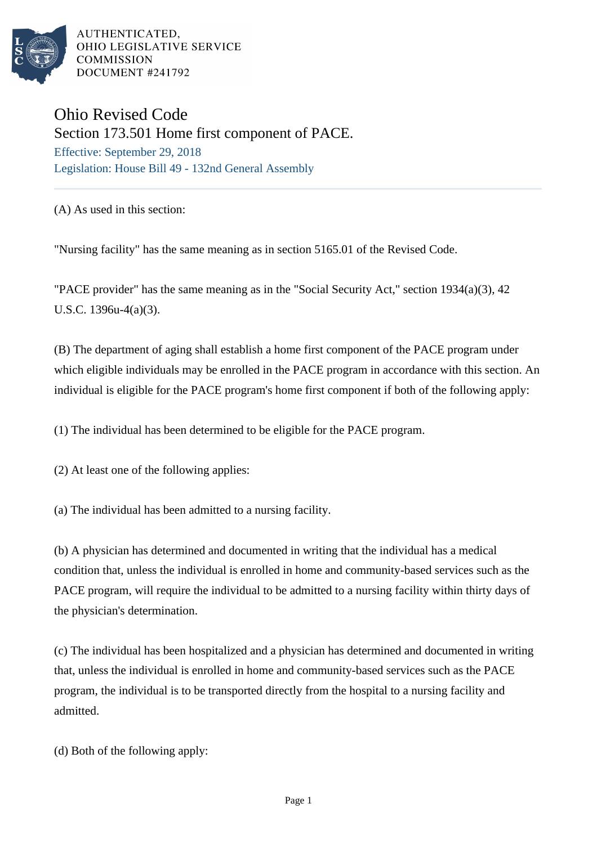

AUTHENTICATED. OHIO LEGISLATIVE SERVICE **COMMISSION** DOCUMENT #241792

## Ohio Revised Code Section 173.501 Home first component of PACE. Effective: September 29, 2018

Legislation: House Bill 49 - 132nd General Assembly

(A) As used in this section:

"Nursing facility" has the same meaning as in section 5165.01 of the Revised Code.

"PACE provider" has the same meaning as in the "Social Security Act," section 1934(a)(3), 42 U.S.C. 1396u-4(a)(3).

(B) The department of aging shall establish a home first component of the PACE program under which eligible individuals may be enrolled in the PACE program in accordance with this section. An individual is eligible for the PACE program's home first component if both of the following apply:

(1) The individual has been determined to be eligible for the PACE program.

(2) At least one of the following applies:

(a) The individual has been admitted to a nursing facility.

(b) A physician has determined and documented in writing that the individual has a medical condition that, unless the individual is enrolled in home and community-based services such as the PACE program, will require the individual to be admitted to a nursing facility within thirty days of the physician's determination.

(c) The individual has been hospitalized and a physician has determined and documented in writing that, unless the individual is enrolled in home and community-based services such as the PACE program, the individual is to be transported directly from the hospital to a nursing facility and admitted.

(d) Both of the following apply: